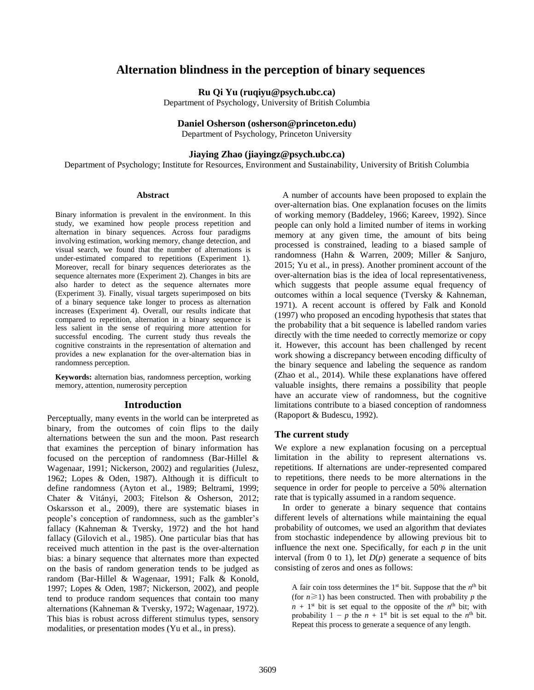# **Alternation blindness in the perception of binary sequences**

**Ru Qi Yu (ruqiyu@psych.ubc.ca)**

Department of Psychology, University of British Columbia

### **Daniel Osherson (osherson@princeton.edu)**

Department of Psychology, Princeton University

## **Jiaying Zhao (jiayingz@psych.ubc.ca)**

Department of Psychology; Institute for Resources, Environment and Sustainability, University of British Columbia

#### **Abstract**

Binary information is prevalent in the environment. In this study, we examined how people process repetition and alternation in binary sequences. Across four paradigms involving estimation, working memory, change detection, and visual search, we found that the number of alternations is under-estimated compared to repetitions (Experiment 1). Moreover, recall for binary sequences deteriorates as the sequence alternates more (Experiment 2). Changes in bits are also harder to detect as the sequence alternates more (Experiment 3). Finally, visual targets superimposed on bits of a binary sequence take longer to process as alternation increases (Experiment 4). Overall, our results indicate that compared to repetition, alternation in a binary sequence is less salient in the sense of requiring more attention for successful encoding. The current study thus reveals the cognitive constraints in the representation of alternation and provides a new explanation for the over-alternation bias in randomness perception.

**Keywords:** alternation bias, randomness perception, working memory, attention, numerosity perception

### **Introduction**

Perceptually, many events in the world can be interpreted as binary, from the outcomes of coin flips to the daily alternations between the sun and the moon. Past research that examines the perception of binary information has focused on the perception of randomness (Bar-Hillel & Wagenaar, 1991; Nickerson, 2002) and regularities (Julesz, 1962; Lopes & Oden, 1987). Although it is difficult to define randomness (Ayton et al., 1989; Beltrami, 1999; Chater & Vitányi, 2003; Fitelson & Osherson, 2012; Oskarsson et al., 2009), there are systematic biases in people's conception of randomness, such as the gambler's fallacy (Kahneman & Tversky, 1972) and the hot hand fallacy (Gilovich et al., 1985). One particular bias that has received much attention in the past is the over-alternation bias: a binary sequence that alternates more than expected on the basis of random generation tends to be judged as random (Bar-Hillel & Wagenaar, 1991; Falk & Konold, 1997; Lopes & Oden, 1987; Nickerson, 2002), and people tend to produce random sequences that contain too many alternations (Kahneman & Tversky, 1972; Wagenaar, 1972). This bias is robust across different stimulus types, sensory modalities, or presentation modes (Yu et al., in press).

A number of accounts have been proposed to explain the over-alternation bias. One explanation focuses on the limits of working memory (Baddeley, 1966; Kareev, 1992). Since people can only hold a limited number of items in working memory at any given time, the amount of bits being processed is constrained, leading to a biased sample of randomness (Hahn & Warren, 2009; Miller & Sanjuro, 2015; Yu et al., in press). Another prominent account of the over-alternation bias is the idea of local representativeness, which suggests that people assume equal frequency of outcomes within a local sequence (Tversky & Kahneman, 1971). A recent account is offered by Falk and Konold (1997) who proposed an encoding hypothesis that states that the probability that a bit sequence is labelled random varies directly with the time needed to correctly memorize or copy it. However, this account has been challenged by recent work showing a discrepancy between encoding difficulty of the binary sequence and labeling the sequence as random (Zhao et al., 2014). While these explanations have offered valuable insights, there remains a possibility that people have an accurate view of randomness, but the cognitive limitations contribute to a biased conception of randomness (Rapoport & Budescu, 1992).

#### **The current study**

We explore a new explanation focusing on a perceptual limitation in the ability to represent alternations vs. repetitions. If alternations are under-represented compared to repetitions, there needs to be more alternations in the sequence in order for people to perceive a 50% alternation rate that is typically assumed in a random sequence.

In order to generate a binary sequence that contains different levels of alternations while maintaining the equal probability of outcomes, we used an algorithm that deviates from stochastic independence by allowing previous bit to influence the next one. Specifically, for each *p* in the unit interval (from 0 to 1), let  $D(p)$  generate a sequence of bits consisting of zeros and ones as follows:

A fair coin toss determines the  $1<sup>st</sup>$  bit. Suppose that the  $n<sup>th</sup>$  bit (for  $n \ge 1$ ) has been constructed. Then with probability *p* the  $n + 1$ <sup>st</sup> bit is set equal to the opposite of the  $n<sup>th</sup>$  bit; with probability  $1 - p$  the  $n + 1$ <sup>st</sup> bit is set equal to the  $n<sup>th</sup>$  bit. Repeat this process to generate a sequence of any length.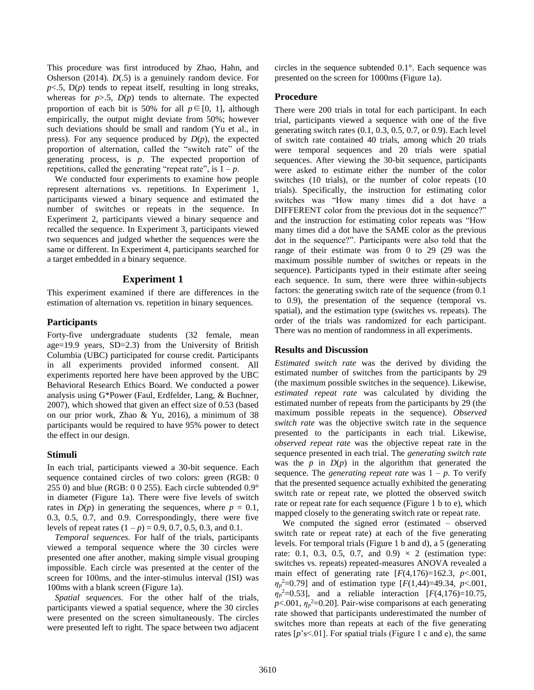This procedure was first introduced by Zhao, Hahn, and Osherson (2014). *D*(.5) is a genuinely random device. For  $p<.5$ ,  $D(p)$  tends to repeat itself, resulting in long streaks, whereas for  $p > .5$ ,  $D(p)$  tends to alternate. The expected proportion of each bit is 50% for all  $p \in [0, 1]$ , although empirically, the output might deviate from 50%; however such deviations should be small and random (Yu et al., in press). For any sequence produced by  $D(p)$ , the expected proportion of alternation, called the "switch rate" of the generating process, is *p*. The expected proportion of repetitions, called the generating "repeat rate", is  $1 - p$ .

We conducted four experiments to examine how people represent alternations vs. repetitions. In Experiment 1, participants viewed a binary sequence and estimated the number of switches or repeats in the sequence. In Experiment 2, participants viewed a binary sequence and recalled the sequence. In Experiment 3, participants viewed two sequences and judged whether the sequences were the same or different. In Experiment 4, participants searched for a target embedded in a binary sequence.

## **Experiment 1**

This experiment examined if there are differences in the estimation of alternation vs. repetition in binary sequences.

## **Participants**

Forty-five undergraduate students (32 female, mean age=19.9 years, SD=2.3) from the University of British Columbia (UBC) participated for course credit. Participants in all experiments provided informed consent. All experiments reported here have been approved by the UBC Behavioral Research Ethics Board. We conducted a power analysis using G\*Power (Faul, Erdfelder, Lang, & Buchner, 2007), which showed that given an effect size of 0.53 (based on our prior work, Zhao & Yu, 2016), a minimum of 38 participants would be required to have 95% power to detect the effect in our design.

## **Stimuli**

In each trial, participants viewed a 30-bit sequence. Each sequence contained circles of two colors: green (RGB: 0 255 0) and blue (RGB: 0 0 255). Each circle subtended 0.9° in diameter (Figure 1a). There were five levels of switch rates in  $D(p)$  in generating the sequences, where  $p = 0.1$ , 0.3, 0.5, 0.7, and 0.9. Correspondingly, there were five levels of repeat rates  $(1 - p) = 0.9, 0.7, 0.5, 0.3,$  and 0.1.

*Temporal sequences.* For half of the trials, participants viewed a temporal sequence where the 30 circles were presented one after another, making simple visual grouping impossible. Each circle was presented at the center of the screen for 100ms, and the inter-stimulus interval (ISI) was 100ms with a blank screen (Figure 1a).

*Spatial sequences.* For the other half of the trials, participants viewed a spatial sequence, where the 30 circles were presented on the screen simultaneously. The circles were presented left to right. The space between two adjacent circles in the sequence subtended 0.1°. Each sequence was presented on the screen for 1000ms (Figure 1a).

## **Procedure**

There were 200 trials in total for each participant. In each trial, participants viewed a sequence with one of the five generating switch rates (0.1, 0.3, 0.5, 0.7, or 0.9). Each level of switch rate contained 40 trials, among which 20 trials were temporal sequences and 20 trials were spatial sequences. After viewing the 30-bit sequence, participants were asked to estimate either the number of the color switches (10 trials), or the number of color repeats (10 trials). Specifically, the instruction for estimating color switches was "How many times did a dot have a DIFFERENT color from the previous dot in the sequence?" and the instruction for estimating color repeats was "How many times did a dot have the SAME color as the previous dot in the sequence?". Participants were also told that the range of their estimate was from 0 to 29 (29 was the maximum possible number of switches or repeats in the sequence). Participants typed in their estimate after seeing each sequence. In sum, there were three within-subjects factors: the generating switch rate of the sequence (from 0.1 to 0.9), the presentation of the sequence (temporal vs. spatial), and the estimation type (switches vs. repeats). The order of the trials was randomized for each participant. There was no mention of randomness in all experiments.

## **Results and Discussion**

*Estimated switch rate* was the derived by dividing the estimated number of switches from the participants by 29 (the maximum possible switches in the sequence). Likewise, *estimated repeat rate* was calculated by dividing the estimated number of repeats from the participants by 29 (the maximum possible repeats in the sequence). *Observed switch rate* was the objective switch rate in the sequence presented to the participants in each trial. Likewise, *observed repeat rate* was the objective repeat rate in the sequence presented in each trial. The *generating switch rate*  was the  $p$  in  $D(p)$  in the algorithm that generated the sequence. The *generating repeat rate* was  $1 - p$ . To verify that the presented sequence actually exhibited the generating switch rate or repeat rate, we plotted the observed switch rate or repeat rate for each sequence (Figure 1 b to e), which mapped closely to the generating switch rate or repeat rate.

We computed the signed error (estimated – observed switch rate or repeat rate) at each of the five generating levels. For temporal trials (Figure 1 b and d), a 5 (generating rate: 0.1, 0.3, 0.5, 0.7, and 0.9)  $\times$  2 (estimation type: switches vs. repeats) repeated-measures ANOVA revealed a main effect of generating rate [*F*(4,176)=162.3, *p*<.001, *ηp* <sup>2</sup>=0.79] and of estimation type [*F*(1,44)=49.34, *p*<.001,  $\eta_p^2 = 0.53$ ], and a reliable interaction [*F*(4,176)=10.75,  $p$ <.001,  $\eta_p$ <sup>2</sup>=0.20]. Pair-wise comparisons at each generating rate showed that participants underestimated the number of switches more than repeats at each of the five generating rates [*p*'s<.01]. For spatial trials (Figure 1 c and e), the same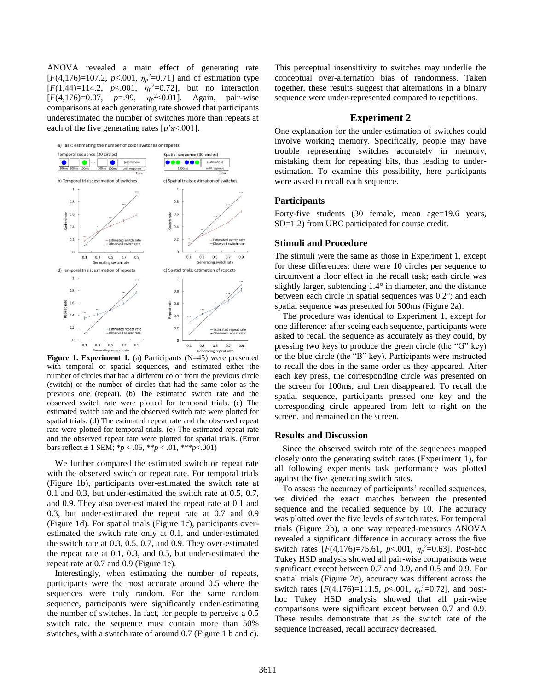ANOVA revealed a main effect of generating rate  $[F(4,176)=107.2, p<.001, \eta_p^2=0.71]$  and of estimation type  $[F(1,44)=114.2, p<.001, \eta_p^2=0.72]$ , but no interaction [*F*(4,176)=0.07, *p*=.99, *η<sup>p</sup>* <sup>2</sup><0.01]. Again, pair-wise comparisons at each generating rate showed that participants underestimated the number of switches more than repeats at each of the five generating rates [*p*'s<.001].

a) Task: estimating the number of color switches or repeats



**Figure 1. Experiment 1.** (a) Participants (N=45) were presented with temporal or spatial sequences, and estimated either the number of circles that had a different color from the previous circle (switch) or the number of circles that had the same color as the previous one (repeat). (b) The estimated switch rate and the observed switch rate were plotted for temporal trials. (c) The estimated switch rate and the observed switch rate were plotted for spatial trials. (d) The estimated repeat rate and the observed repeat rate were plotted for temporal trials. (e) The estimated repeat rate and the observed repeat rate were plotted for spatial trials. (Error bars reflect  $\pm$  1 SEM; \* $p < .05$ , \*\* $p < .01$ , \*\*\* $p < .001$ )

We further compared the estimated switch or repeat rate with the observed switch or repeat rate. For temporal trials (Figure 1b), participants over-estimated the switch rate at 0.1 and 0.3, but under-estimated the switch rate at 0.5, 0.7, and 0.9. They also over-estimated the repeat rate at 0.1 and 0.3, but under-estimated the repeat rate at 0.7 and 0.9 (Figure 1d). For spatial trials (Figure 1c), participants overestimated the switch rate only at 0.1, and under-estimated the switch rate at 0.3, 0.5, 0.7, and 0.9. They over-estimated the repeat rate at 0.1, 0.3, and 0.5, but under-estimated the repeat rate at 0.7 and 0.9 (Figure 1e).

Interestingly, when estimating the number of repeats, participants were the most accurate around 0.5 where the sequences were truly random. For the same random sequence, participants were significantly under-estimating the number of switches. In fact, for people to perceive a 0.5 switch rate, the sequence must contain more than 50% switches, with a switch rate of around 0.7 (Figure 1 b and c). This perceptual insensitivity to switches may underlie the conceptual over-alternation bias of randomness. Taken together, these results suggest that alternations in a binary sequence were under-represented compared to repetitions.

### **Experiment 2**

One explanation for the under-estimation of switches could involve working memory. Specifically, people may have trouble representing switches accurately in memory, mistaking them for repeating bits, thus leading to underestimation. To examine this possibility, here participants were asked to recall each sequence.

#### **Participants**

Forty-five students (30 female, mean age=19.6 years, SD=1.2) from UBC participated for course credit.

#### **Stimuli and Procedure**

The stimuli were the same as those in Experiment 1, except for these differences: there were 10 circles per sequence to circumvent a floor effect in the recall task; each circle was slightly larger, subtending 1.4° in diameter, and the distance between each circle in spatial sequences was 0.2°; and each spatial sequence was presented for 500ms (Figure 2a).

The procedure was identical to Experiment 1, except for one difference: after seeing each sequence, participants were asked to recall the sequence as accurately as they could, by pressing two keys to produce the green circle (the "G" key) or the blue circle (the "B" key). Participants were instructed to recall the dots in the same order as they appeared. After each key press, the corresponding circle was presented on the screen for 100ms, and then disappeared. To recall the spatial sequence, participants pressed one key and the corresponding circle appeared from left to right on the screen, and remained on the screen.

#### **Results and Discussion**

Since the observed switch rate of the sequences mapped closely onto the generating switch rates (Experiment 1), for all following experiments task performance was plotted against the five generating switch rates.

To assess the accuracy of participants' recalled sequences, we divided the exact matches between the presented sequence and the recalled sequence by 10. The accuracy was plotted over the five levels of switch rates. For temporal trials (Figure 2b), a one way repeated-measures ANOVA revealed a significant difference in accuracy across the five switch rates  $[F(4,176)=75.61, p<.001, \eta_p^2=0.63]$ . Post-hoc Tukey HSD analysis showed all pair-wise comparisons were significant except between 0.7 and 0.9, and 0.5 and 0.9. For spatial trials (Figure 2c), accuracy was different across the switch rates  $[F(4,176)=111.5, p<.001, \eta_p^2=0.72]$ , and posthoc Tukey HSD analysis showed that all pair-wise comparisons were significant except between 0.7 and 0.9. These results demonstrate that as the switch rate of the sequence increased, recall accuracy decreased.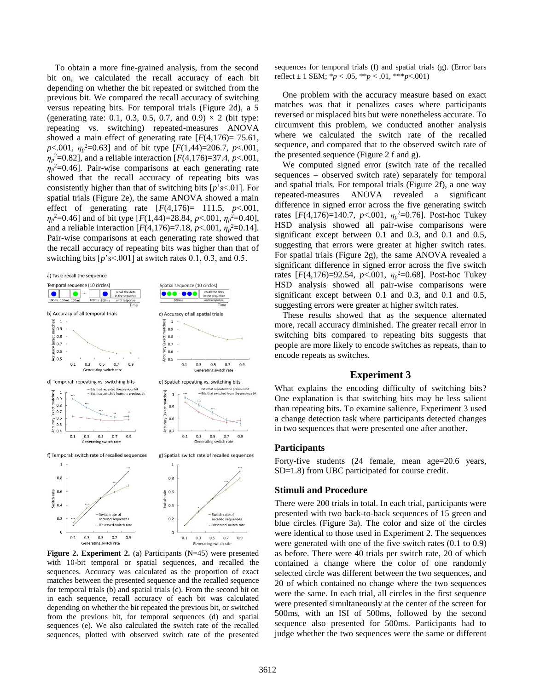To obtain a more fine-grained analysis, from the second bit on, we calculated the recall accuracy of each bit depending on whether the bit repeated or switched from the previous bit. We compared the recall accuracy of switching versus repeating bits. For temporal trials (Figure 2d), a 5 (generating rate: 0.1, 0.3, 0.5, 0.7, and 0.9)  $\times$  2 (bit type: repeating vs. switching) repeated-measures ANOVA showed a main effect of generating rate  $[F(4,176) = 75.61]$ , *p*<.001, *η<sup>p</sup>* <sup>2</sup>=0.63] and of bit type [*F*(1,44)=206.7, *p*<.001, *ηp* <sup>2</sup>=0.82], and a reliable interaction [*F*(4,176)=37.4, *p*<.001,  $\eta_p^2$ =0.46]. Pair-wise comparisons at each generating rate showed that the recall accuracy of repeating bits was consistently higher than that of switching bits [*p*'s<.01]. For spatial trials (Figure 2e), the same ANOVA showed a main effect of generating rate [*F*(4,176)= 111.5, *p*<.001,  $\eta_p^2$ =0.46] and of bit type [*F*(1,44)=28.84, *p*<.001,  $\eta_p^2$ =0.40], and a reliable interaction  $[F(4,176)=7.18, p<.001, \eta_p^2=0.14]$ . Pair-wise comparisons at each generating rate showed that the recall accuracy of repeating bits was higher than that of switching bits  $[p's < 0.01]$  at switch rates 0.1, 0.3, and 0.5.





**Figure 2. Experiment 2.** (a) Participants (N=45) were presented with 10-bit temporal or spatial sequences, and recalled the sequences. Accuracy was calculated as the proportion of exact matches between the presented sequence and the recalled sequence for temporal trials (b) and spatial trials (c). From the second bit on in each sequence, recall accuracy of each bit was calculated depending on whether the bit repeated the previous bit, or switched from the previous bit, for temporal sequences (d) and spatial sequences (e). We also calculated the switch rate of the recalled sequences, plotted with observed switch rate of the presented

sequences for temporal trials (f) and spatial trials (g). (Error bars reflect ± 1 SEM; \**p* < .05, \*\**p* < .01, \*\*\**p*<.001)

One problem with the accuracy measure based on exact matches was that it penalizes cases where participants reversed or misplaced bits but were nonetheless accurate. To circumvent this problem, we conducted another analysis where we calculated the switch rate of the recalled sequence, and compared that to the observed switch rate of the presented sequence (Figure 2 f and g).

We computed signed error (switch rate of the recalled sequences – observed switch rate) separately for temporal and spatial trials. For temporal trials (Figure 2f), a one way repeated-measures ANOVA revealed a significant difference in signed error across the five generating switch rates  $[F(4,176)=140.7, p<.001, \eta_p^2=0.76]$ . Post-hoc Tukey HSD analysis showed all pair-wise comparisons were significant except between 0.1 and 0.3, and 0.1 and 0.5, suggesting that errors were greater at higher switch rates. For spatial trials (Figure 2g), the same ANOVA revealed a significant difference in signed error across the five switch rates  $[F(4,176)=92.54, p<.001, \eta_p^2=0.68]$ . Post-hoc Tukey HSD analysis showed all pair-wise comparisons were significant except between 0.1 and 0.3, and 0.1 and 0.5, suggesting errors were greater at higher switch rates.

These results showed that as the sequence alternated more, recall accuracy diminished. The greater recall error in switching bits compared to repeating bits suggests that people are more likely to encode switches as repeats, than to encode repeats as switches.

### **Experiment 3**

What explains the encoding difficulty of switching bits? One explanation is that switching bits may be less salient than repeating bits. To examine salience, Experiment 3 used a change detection task where participants detected changes in two sequences that were presented one after another.

### **Participants**

Forty-five students (24 female, mean age=20.6 years, SD=1.8) from UBC participated for course credit.

### **Stimuli and Procedure**

There were 200 trials in total. In each trial, participants were presented with two back-to-back sequences of 15 green and blue circles (Figure 3a). The color and size of the circles were identical to those used in Experiment 2. The sequences were generated with one of the five switch rates (0.1 to 0.9) as before. There were 40 trials per switch rate, 20 of which contained a change where the color of one randomly selected circle was different between the two sequences, and 20 of which contained no change where the two sequences were the same. In each trial, all circles in the first sequence were presented simultaneously at the center of the screen for 500ms, with an ISI of 500ms, followed by the second sequence also presented for 500ms. Participants had to judge whether the two sequences were the same or different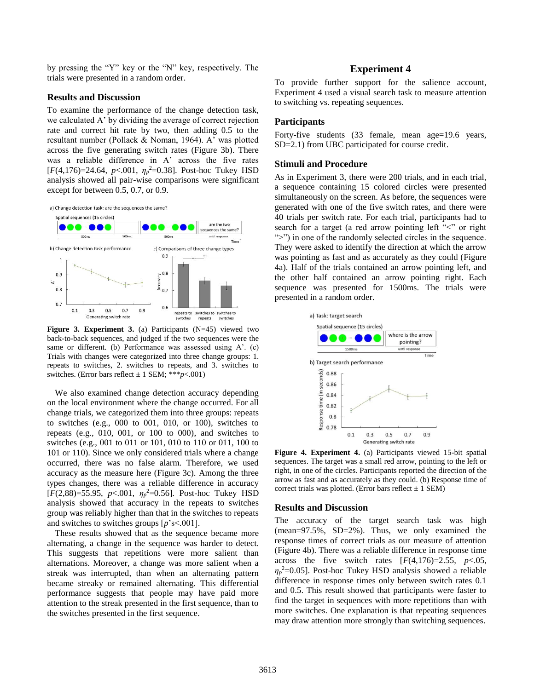by pressing the "Y" key or the "N" key, respectively. The trials were presented in a random order.

#### **Results and Discussion**

To examine the performance of the change detection task, we calculated A' by dividing the average of correct rejection rate and correct hit rate by two, then adding 0.5 to the resultant number (Pollack & Noman, 1964). A' was plotted across the five generating switch rates (Figure 3b). There was a reliable difference in A' across the five rates  $[F(4,176)=24.64, p<.001, \eta_p^2=0.38]$ . Post-hoc Tukey HSD analysis showed all pair-wise comparisons were significant except for between 0.5, 0.7, or 0.9.





**Figure 3. Experiment 3.** (a) Participants (N=45) viewed two back-to-back sequences, and judged if the two sequences were the same or different. (b) Performance was assessed using A'. (c) Trials with changes were categorized into three change groups: 1. repeats to switches, 2. switches to repeats, and 3. switches to switches. (Error bars reflect  $\pm$  1 SEM; \*\*\* $p$ <.001)

We also examined change detection accuracy depending on the local environment where the change occurred. For all change trials, we categorized them into three groups: repeats to switches (e.g., 000 to 001, 010, or 100), switches to repeats (e.g., 010, 001, or 100 to 000), and switches to switches (e.g., 001 to 011 or 101, 010 to 110 or 011, 100 to 101 or 110). Since we only considered trials where a change occurred, there was no false alarm. Therefore, we used accuracy as the measure here (Figure 3c). Among the three types changes, there was a reliable difference in accuracy  $[F(2,88)=55.95, p<.001, \eta_p^2=0.56]$ . Post-hoc Tukey HSD analysis showed that accuracy in the repeats to switches group was reliably higher than that in the switches to repeats and switches to switches groups [*p*'s<.001].

These results showed that as the sequence became more alternating, a change in the sequence was harder to detect. This suggests that repetitions were more salient than alternations. Moreover, a change was more salient when a streak was interrupted, than when an alternating pattern became streaky or remained alternating. This differential performance suggests that people may have paid more attention to the streak presented in the first sequence, than to the switches presented in the first sequence.

### **Experiment 4**

To provide further support for the salience account, Experiment 4 used a visual search task to measure attention to switching vs. repeating sequences.

### **Participants**

Forty-five students (33 female, mean age=19.6 years, SD=2.1) from UBC participated for course credit.

### **Stimuli and Procedure**

As in Experiment 3, there were 200 trials, and in each trial, a sequence containing 15 colored circles were presented simultaneously on the screen. As before, the sequences were generated with one of the five switch rates, and there were 40 trials per switch rate. For each trial, participants had to search for a target (a red arrow pointing left "<" or right ">") in one of the randomly selected circles in the sequence. They were asked to identify the direction at which the arrow was pointing as fast and as accurately as they could (Figure 4a). Half of the trials contained an arrow pointing left, and the other half contained an arrow pointing right. Each sequence was presented for 1500ms. The trials were presented in a random order.



**Figure 4. Experiment 4.** (a) Participants viewed 15-bit spatial sequences. The target was a small red arrow, pointing to the left or right, in one of the circles. Participants reported the direction of the arrow as fast and as accurately as they could. (b) Response time of correct trials was plotted. (Error bars reflect  $\pm$  1 SEM)

#### **Results and Discussion**

The accuracy of the target search task was high (mean=97.5%, SD=2%). Thus, we only examined the response times of correct trials as our measure of attention (Figure 4b). There was a reliable difference in response time across the five switch rates  $[F(4,176)=2.55, p<0.05]$ , *ηp* <sup>2</sup>=0.05]. Post-hoc Tukey HSD analysis showed a reliable difference in response times only between switch rates 0.1 and 0.5. This result showed that participants were faster to find the target in sequences with more repetitions than with more switches. One explanation is that repeating sequences may draw attention more strongly than switching sequences.